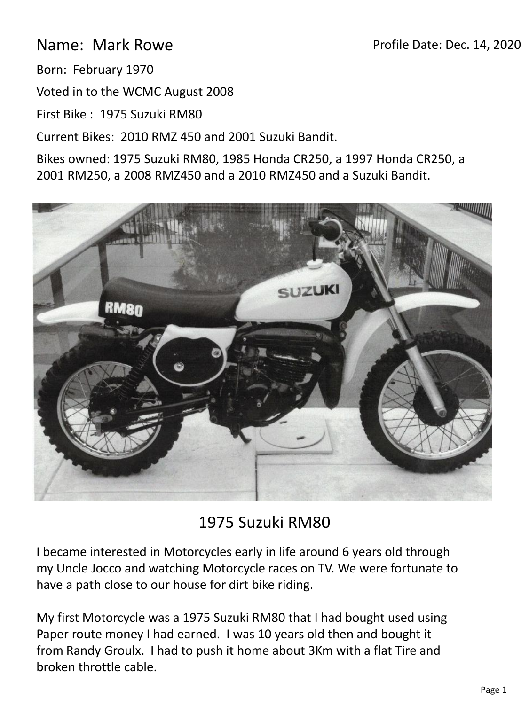## Profile Date: Dec. 14, 2020

Name: Mark Rowe

Born: February 1970

Voted in to the WCMC August 2008

First Bike : 1975 Suzuki RM80

Current Bikes: 2010 RMZ 450 and 2001 Suzuki Bandit.

Bikes owned: 1975 Suzuki RM80, 1985 Honda CR250, a 1997 Honda CR250, a 2001 RM250, a 2008 RMZ450 and a 2010 RMZ450 and a Suzuki Bandit.



## 1975 Suzuki RM80

I became interested in Motorcycles early in life around 6 years old through my Uncle Jocco and watching Motorcycle races on TV. We were fortunate to have a path close to our house for dirt bike riding.

My first Motorcycle was a 1975 Suzuki RM80 that I had bought used using Paper route money I had earned. I was 10 years old then and bought it from Randy Groulx. I had to push it home about 3Km with a flat Tire and broken throttle cable.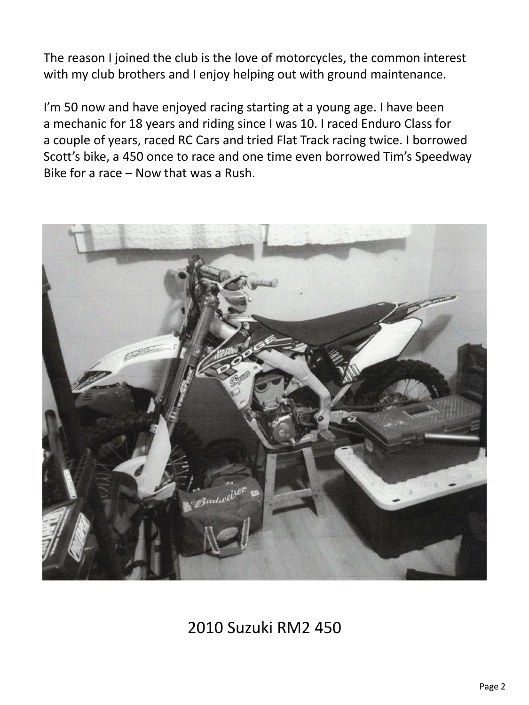The reason I joined the club is the love of motorcycles, the common interest with my club brothers and I enjoy helping out with ground maintenance.

I'm 50 now and have enjoyed racing starting at a young age. I have been a mechanic for 18 years and riding since I was 10. I raced Enduro Class for a couple of years, raced RC Cars and tried Flat Track racing twice. I borrowed Scott's bike, a 450 once to race and one time even borrowed Tim's Speedway Bike for a race – Now that was a Rush.



2010 Suzuki RM2 450